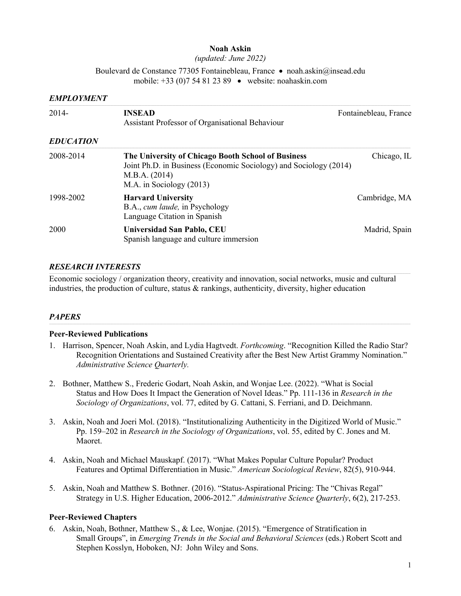#### **Noah Askin**

*(updated: June 2022)*

Boulevard de Constance 77305 Fontainebleau, France • noah.askin@insead.edu mobile: +33 (0)7 54 81 23 89 • website: noahaskin.com

#### *EMPLOYMENT*

| $2014 -$         | <b>INSEAD</b><br>Assistant Professor of Organisational Behaviour                                                                                                     | Fontainebleau, France |  |  |
|------------------|----------------------------------------------------------------------------------------------------------------------------------------------------------------------|-----------------------|--|--|
| <b>EDUCATION</b> |                                                                                                                                                                      |                       |  |  |
| 2008-2014        | The University of Chicago Booth School of Business<br>Joint Ph.D. in Business (Economic Sociology) and Sociology (2014)<br>M.B.A. (2014)<br>M.A. in Sociology (2013) | Chicago, IL           |  |  |
| 1998-2002        | <b>Harvard University</b><br>B.A., cum laude, in Psychology<br>Language Citation in Spanish                                                                          | Cambridge, MA         |  |  |
| 2000             | Universidad San Pablo, CEU<br>Spanish language and culture immersion                                                                                                 | Madrid, Spain         |  |  |

# *RESEARCH INTERESTS*

Economic sociology / organization theory, creativity and innovation, social networks, music and cultural industries, the production of culture, status & rankings, authenticity, diversity, higher education

# *PAPERS*

#### **Peer-Reviewed Publications**

- 1. Harrison, Spencer, Noah Askin, and Lydia Hagtvedt. *Forthcoming*. "Recognition Killed the Radio Star? Recognition Orientations and Sustained Creativity after the Best New Artist Grammy Nomination." *Administrative Science Quarterly.*
- 2. Bothner, Matthew S., Frederic Godart, Noah Askin, and Wonjae Lee. (2022). "What is Social Status and How Does It Impact the Generation of Novel Ideas." Pp. 111-136 in *Research in the Sociology of Organizations*, vol. 77, edited by G. Cattani, S. Ferriani, and D. Deichmann.
- 3. Askin, Noah and Joeri Mol. (2018). "Institutionalizing Authenticity in the Digitized World of Music." Pp. 159–202 in *Research in the Sociology of Organizations*, vol. 55, edited by C. Jones and M. Maoret.
- 4. Askin, Noah and Michael Mauskapf. (2017). "What Makes Popular Culture Popular? Product Features and Optimal Differentiation in Music." *American Sociological Review*, 82(5), 910-944.
- 5. Askin, Noah and Matthew S. Bothner. (2016). "Status-Aspirational Pricing: The "Chivas Regal" Strategy in U.S. Higher Education, 2006-2012." *Administrative Science Quarterly*, 6(2), 217-253.

# **Peer-Reviewed Chapters**

6. Askin, Noah, Bothner, Matthew S., & Lee, Wonjae. (2015). "Emergence of Stratification in Small Groups", in *Emerging Trends in the Social and Behavioral Sciences* (eds.) Robert Scott and Stephen Kosslyn, Hoboken, NJ: John Wiley and Sons.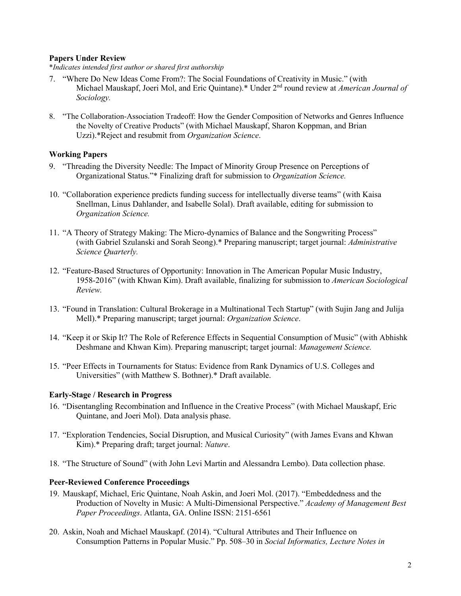#### **Papers Under Review**

\**Indicates intended first author or shared first authorship*

- 7. "Where Do New Ideas Come From?: The Social Foundations of Creativity in Music." (with Michael Mauskapf, Joeri Mol, and Eric Quintane).\* Under 2<sup>nd</sup> round review at *American Journal of Sociology.*
- 8. "The Collaboration-Association Tradeoff: How the Gender Composition of Networks and Genres Influence the Novelty of Creative Products" (with Michael Mauskapf, Sharon Koppman, and Brian Uzzi).\*Reject and resubmit from *Organization Science*.

#### **Working Papers**

- 9. "Threading the Diversity Needle: The Impact of Minority Group Presence on Perceptions of Organizational Status."\* Finalizing draft for submission to *Organization Science.*
- 10. "Collaboration experience predicts funding success for intellectually diverse teams" (with Kaisa Snellman, Linus Dahlander, and Isabelle Solal). Draft available, editing for submission to *Organization Science.*
- 11. "A Theory of Strategy Making: The Micro-dynamics of Balance and the Songwriting Process" (with Gabriel Szulanski and Sorah Seong).\* Preparing manuscript; target journal: *Administrative Science Quarterly.*
- 12. "Feature-Based Structures of Opportunity: Innovation in The American Popular Music Industry, 1958-2016" (with Khwan Kim). Draft available, finalizing for submission to *American Sociological Review.*
- 13. "Found in Translation: Cultural Brokerage in a Multinational Tech Startup" (with Sujin Jang and Julija Mell).\* Preparing manuscript; target journal: *Organization Science*.
- 14. "Keep it or Skip It? The Role of Reference Effects in Sequential Consumption of Music" (with Abhishk Deshmane and Khwan Kim). Preparing manuscript; target journal: *Management Science.*
- 15. "Peer Effects in Tournaments for Status: Evidence from Rank Dynamics of U.S. Colleges and Universities" (with Matthew S. Bothner).\* Draft available.

# **Early-Stage / Research in Progress**

- 16. "Disentangling Recombination and Influence in the Creative Process" (with Michael Mauskapf, Eric Quintane, and Joeri Mol). Data analysis phase.
- 17. "Exploration Tendencies, Social Disruption, and Musical Curiosity" (with James Evans and Khwan Kim).\* Preparing draft; target journal: *Nature*.
- 18. "The Structure of Sound" (with John Levi Martin and Alessandra Lembo). Data collection phase.

#### **Peer-Reviewed Conference Proceedings**

- 19. Mauskapf, Michael, Eric Quintane, Noah Askin, and Joeri Mol. (2017). "Embeddedness and the Production of Novelty in Music: A Multi-Dimensional Perspective." *Academy of Management Best Paper Proceedings*. Atlanta, GA. Online ISSN: 2151-6561
- 20. Askin, Noah and Michael Mauskapf. (2014). "Cultural Attributes and Their Influence on Consumption Patterns in Popular Music." Pp. 508–30 in *Social Informatics, Lecture Notes in*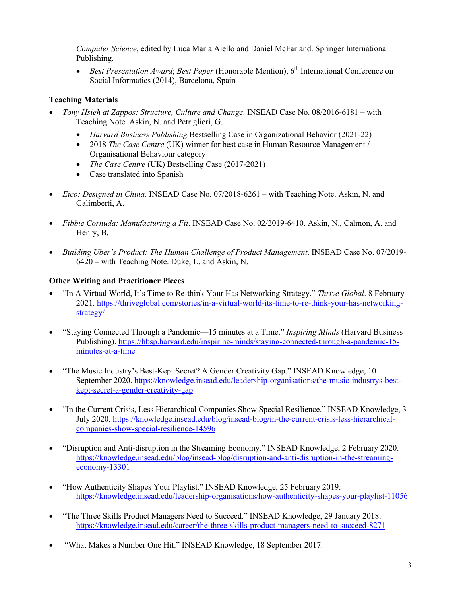*Computer Science*, edited by Luca Maria Aiello and Daniel McFarland. Springer International Publishing.

• *Best Presentation Award*; *Best Paper* (Honorable Mention), 6<sup>th</sup> International Conference on Social Informatics (2014), Barcelona, Spain

# **Teaching Materials**

- *Tony Hsieh at Zappos: Structure, Culture and Change*. INSEAD Case No. 08/2016-6181 with Teaching Note*.* Askin, N. and Petriglieri, G.
	- *Harvard Business Publishing* Bestselling Case in Organizational Behavior (2021-22)
	- 2018 *The Case Centre* (UK) winner for best case in Human Resource Management / Organisational Behaviour category
	- *The Case Centre* (UK) Bestselling Case (2017-2021)
	- Case translated into Spanish
- *Eico: Designed in China.* INSEAD Case No. 07/2018-6261 with Teaching Note. Askin, N. and Galimberti, A.
- *Fibbie Cornuda: Manufacturing a Fit*. INSEAD Case No. 02/2019-6410. Askin, N., Calmon, A. and Henry, B.
- *Building Uber's Product: The Human Challenge of Product Management*. INSEAD Case No. 07/2019- 6420 – with Teaching Note. Duke, L. and Askin, N.

# **Other Writing and Practitioner Pieces**

- "In A Virtual World, It's Time to Re-think Your Has Networking Strategy." *Thrive Global*. 8 February 2021. https://thriveglobal.com/stories/in-a-virtual-world-its-time-to-re-think-your-has-networkingstrategy/
- "Staying Connected Through a Pandemic—15 minutes at a Time." *Inspiring Minds* (Harvard Business Publishing). https://hbsp.harvard.edu/inspiring-minds/staying-connected-through-a-pandemic-15 minutes-at-a-time
- "The Music Industry's Best-Kept Secret? A Gender Creativity Gap." INSEAD Knowledge, 10 September 2020. https://knowledge.insead.edu/leadership-organisations/the-music-industrys-bestkept-secret-a-gender-creativity-gap
- "In the Current Crisis, Less Hierarchical Companies Show Special Resilience." INSEAD Knowledge, 3 July 2020. https://knowledge.insead.edu/blog/insead-blog/in-the-current-crisis-less-hierarchicalcompanies-show-special-resilience-14596
- "Disruption and Anti-disruption in the Streaming Economy." INSEAD Knowledge, 2 February 2020. https://knowledge.insead.edu/blog/insead-blog/disruption-and-anti-disruption-in-the-streamingeconomy-13301
- "How Authenticity Shapes Your Playlist." INSEAD Knowledge, 25 February 2019. https://knowledge.insead.edu/leadership-organisations/how-authenticity-shapes-your-playlist-11056
- "The Three Skills Product Managers Need to Succeed." INSEAD Knowledge, 29 January 2018. https://knowledge.insead.edu/career/the-three-skills-product-managers-need-to-succeed-8271
- "What Makes a Number One Hit." INSEAD Knowledge, 18 September 2017.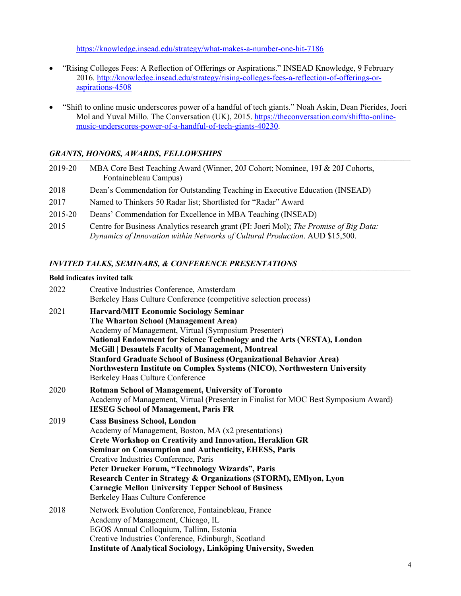https://knowledge.insead.edu/strategy/what-makes-a-number-one-hit-7186

- "Rising Colleges Fees: A Reflection of Offerings or Aspirations." INSEAD Knowledge, 9 February 2016. http://knowledge.insead.edu/strategy/rising-colleges-fees-a-reflection-of-offerings-oraspirations-4508
- "Shift to online music underscores power of a handful of tech giants." Noah Askin, Dean Pierides, Joeri Mol and Yuval Millo. The Conversation (UK), 2015. https://theconversation.com/shiftto-onlinemusic-underscores-power-of-a-handful-of-tech-giants-40230.

# *GRANTS, HONORS, AWARDS, FELLOWSHIPS*

| 2019-20 | MBA Core Best Teaching Award (Winner, 20J Cohort; Nominee, 19J & 20J Cohorts,<br>Fontainebleau Campus)                                                                 |
|---------|------------------------------------------------------------------------------------------------------------------------------------------------------------------------|
| 2018    | Dean's Commendation for Outstanding Teaching in Executive Education (INSEAD)                                                                                           |
| 2017    | Named to Thinkers 50 Radar list; Shortlisted for "Radar" Award                                                                                                         |
| 2015-20 | Deans' Commendation for Excellence in MBA Teaching (INSEAD)                                                                                                            |
| 2015    | Centre for Business Analytics research grant (PI: Joeri Mol); The Promise of Big Data:<br>Dynamics of Innovation within Networks of Cultural Production. AUD \$15,500. |

# *INVITED TALKS, SEMINARS, & CONFERENCE PRESENTATIONS*

#### **Bold indicates invited talk**

| 2022 | Creative Industries Conference, Amsterdam<br>Berkeley Haas Culture Conference (competitive selection process)                                                                                                                                                                                                                                                                                                                                                                                        |
|------|------------------------------------------------------------------------------------------------------------------------------------------------------------------------------------------------------------------------------------------------------------------------------------------------------------------------------------------------------------------------------------------------------------------------------------------------------------------------------------------------------|
| 2021 | <b>Harvard/MIT Economic Sociology Seminar</b><br>The Wharton School (Management Area)<br>Academy of Management, Virtual (Symposium Presenter)<br>National Endowment for Science Technology and the Arts (NESTA), London<br>McGill   Desautels Faculty of Management, Montreal<br><b>Stanford Graduate School of Business (Organizational Behavior Area)</b><br>Northwestern Institute on Complex Systems (NICO), Northwestern University<br>Berkeley Haas Culture Conference                         |
| 2020 | <b>Rotman School of Management, University of Toronto</b><br>Academy of Management, Virtual (Presenter in Finalist for MOC Best Symposium Award)<br><b>IESEG School of Management, Paris FR</b>                                                                                                                                                                                                                                                                                                      |
| 2019 | <b>Cass Business School, London</b><br>Academy of Management, Boston, MA (x2 presentations)<br><b>Crete Workshop on Creativity and Innovation, Heraklion GR</b><br><b>Seminar on Consumption and Authenticity, EHESS, Paris</b><br>Creative Industries Conference, Paris<br>Peter Drucker Forum, "Technology Wizards", Paris<br>Research Center in Strategy & Organizations (STORM), EMIyon, Lyon<br><b>Carnegie Mellon University Tepper School of Business</b><br>Berkeley Haas Culture Conference |
| 2018 | Network Evolution Conference, Fontainebleau, France<br>Academy of Management, Chicago, IL<br>EGOS Annual Colloquium, Tallinn, Estonia<br>Creative Industries Conference, Edinburgh, Scotland<br>Institute of Analytical Sociology, Linköping University, Sweden                                                                                                                                                                                                                                      |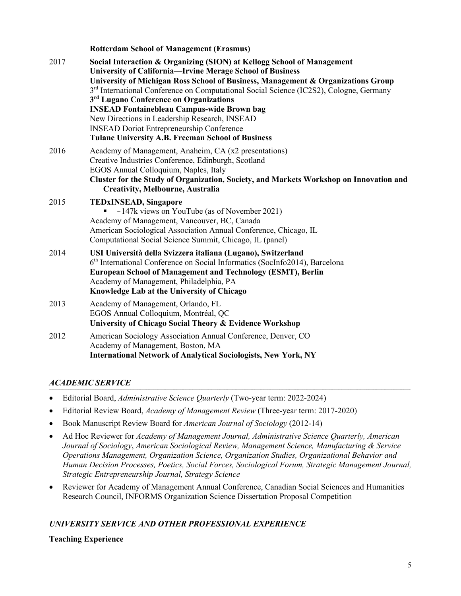|      | <b>Rotterdam School of Management (Erasmus)</b>                                                                                                                                                                                                                                                                                                                                                                                                                                                                                                                                                                  |
|------|------------------------------------------------------------------------------------------------------------------------------------------------------------------------------------------------------------------------------------------------------------------------------------------------------------------------------------------------------------------------------------------------------------------------------------------------------------------------------------------------------------------------------------------------------------------------------------------------------------------|
| 2017 | Social Interaction & Organizing (SION) at Kellogg School of Management<br><b>University of California-Irvine Merage School of Business</b><br>University of Michigan Ross School of Business, Management & Organizations Group<br>3 <sup>rd</sup> International Conference on Computational Social Science (IC2S2), Cologne, Germany<br>3 <sup>rd</sup> Lugano Conference on Organizations<br><b>INSEAD Fontainebleau Campus-wide Brown bag</b><br>New Directions in Leadership Research, INSEAD<br><b>INSEAD Doriot Entrepreneurship Conference</b><br><b>Tulane University A.B. Freeman School of Business</b> |
| 2016 | Academy of Management, Anaheim, CA (x2 presentations)<br>Creative Industries Conference, Edinburgh, Scotland<br>EGOS Annual Colloquium, Naples, Italy<br><b>Cluster for the Study of Organization, Society, and Markets Workshop on Innovation and</b><br><b>Creativity, Melbourne, Australia</b>                                                                                                                                                                                                                                                                                                                |
| 2015 | <b>TEDXINSEAD, Singapore</b><br>$\sim$ 147k views on YouTube (as of November 2021)<br>Academy of Management, Vancouver, BC, Canada<br>American Sociological Association Annual Conference, Chicago, IL<br>Computational Social Science Summit, Chicago, IL (panel)                                                                                                                                                                                                                                                                                                                                               |
| 2014 | USI Università della Svizzera italiana (Lugano), Switzerland<br>6 <sup>th</sup> International Conference on Social Informatics (SocInfo2014), Barcelona<br><b>European School of Management and Technology (ESMT), Berlin</b><br>Academy of Management, Philadelphia, PA<br>Knowledge Lab at the University of Chicago                                                                                                                                                                                                                                                                                           |
| 2013 | Academy of Management, Orlando, FL<br>EGOS Annual Colloquium, Montréal, QC<br>University of Chicago Social Theory & Evidence Workshop                                                                                                                                                                                                                                                                                                                                                                                                                                                                            |
| 2012 | American Sociology Association Annual Conference, Denver, CO<br>Academy of Management, Boston, MA<br><b>International Network of Analytical Sociologists, New York, NY</b>                                                                                                                                                                                                                                                                                                                                                                                                                                       |

# *ACADEMIC SERVICE*

- Editorial Board, *Administrative Science Quarterly* (Two-year term: 2022-2024)
- Editorial Review Board, *Academy of Management Review* (Three-year term: 2017-2020)
- Book Manuscript Review Board for *American Journal of Sociology* (2012-14)
- Ad Hoc Reviewer for *Academy of Management Journal, Administrative Science Quarterly, American Journal of Sociology*, *American Sociological Review, Management Science, Manufacturing & Service Operations Management, Organization Science, Organization Studies, Organizational Behavior and Human Decision Processes, Poetics, Social Forces, Sociological Forum, Strategic Management Journal, Strategic Entrepreneurship Journal, Strategy Science*
- Reviewer for Academy of Management Annual Conference, Canadian Social Sciences and Humanities Research Council, INFORMS Organization Science Dissertation Proposal Competition

# *UNIVERSITY SERVICE AND OTHER PROFESSIONAL EXPERIENCE*

**Teaching Experience**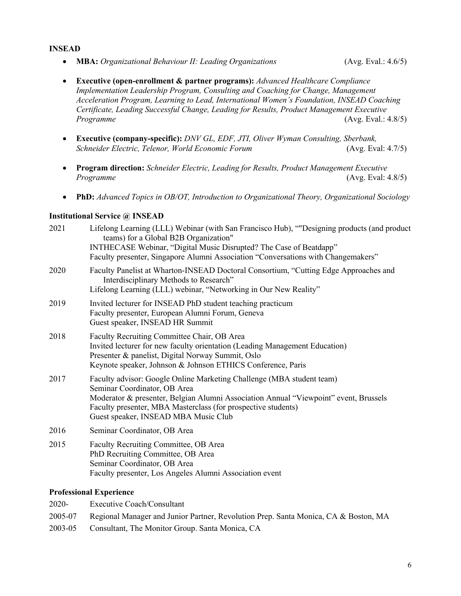#### *Certificate, Leading Successful Change, Leading for Results, Product Management Executive Programme* (Avg. Eval.: 4.8/5)

• **Executive (company-specific):** *DNV GL, EDF, JTI, Oliver Wyman Consulting, Sberbank, Schneider Electric, Telenor, World Economic Forum* (Avg. Eval: 4.7/5)

*Acceleration Program, Learning to Lead, International Women's Foundation, INSEAD Coaching* 

• **Executive (open-enrollment & partner programs):** *Advanced Healthcare Compliance Implementation Leadership Program, Consulting and Coaching for Change, Management* 

- **Program direction:** *Schneider Electric, Leading for Results, Product Management Executive Programme* (Avg. Eval: 4.8/5)
- **PhD:** *Advanced Topics in OB/OT, Introduction to Organizational Theory, Organizational Sociology*

#### **Institutional Service @ INSEAD**

**INSEAD**

| 2021 | Lifelong Learning (LLL) Webinar (with San Francisco Hub), ""Designing products (and product<br>teams) for a Global B2B Organization"<br>INTHECASE Webinar, "Digital Music Disrupted? The Case of Beatdapp"<br>Faculty presenter, Singapore Alumni Association "Conversations with Changemakers"        |
|------|--------------------------------------------------------------------------------------------------------------------------------------------------------------------------------------------------------------------------------------------------------------------------------------------------------|
| 2020 | Faculty Panelist at Wharton-INSEAD Doctoral Consortium, "Cutting Edge Approaches and<br>Interdisciplinary Methods to Research"<br>Lifelong Learning (LLL) webinar, "Networking in Our New Reality"                                                                                                     |
| 2019 | Invited lecturer for INSEAD PhD student teaching practicum<br>Faculty presenter, European Alumni Forum, Geneva<br>Guest speaker, INSEAD HR Summit                                                                                                                                                      |
| 2018 | Faculty Recruiting Committee Chair, OB Area<br>Invited lecturer for new faculty orientation (Leading Management Education)<br>Presenter & panelist, Digital Norway Summit, Oslo<br>Keynote speaker, Johnson & Johnson ETHICS Conference, Paris                                                         |
| 2017 | Faculty advisor: Google Online Marketing Challenge (MBA student team)<br>Seminar Coordinator, OB Area<br>Moderator & presenter, Belgian Alumni Association Annual "Viewpoint" event, Brussels<br>Faculty presenter, MBA Masterclass (for prospective students)<br>Guest speaker, INSEAD MBA Music Club |
| 2016 | Seminar Coordinator, OB Area                                                                                                                                                                                                                                                                           |
| 2015 | Faculty Recruiting Committee, OB Area<br>PhD Recruiting Committee, OB Area<br>Seminar Coordinator, OB Area<br>Faculty presenter, Los Angeles Alumni Association event                                                                                                                                  |

#### **Professional Experience**

- 2020- Executive Coach/Consultant
- 2005-07 Regional Manager and Junior Partner, Revolution Prep. Santa Monica, CA & Boston, MA
- 2003-05 Consultant, The Monitor Group. Santa Monica, CA

• **MBA:** *Organizational Behaviour II: Leading Organizations* (Avg. Eval.: 4.6/5)